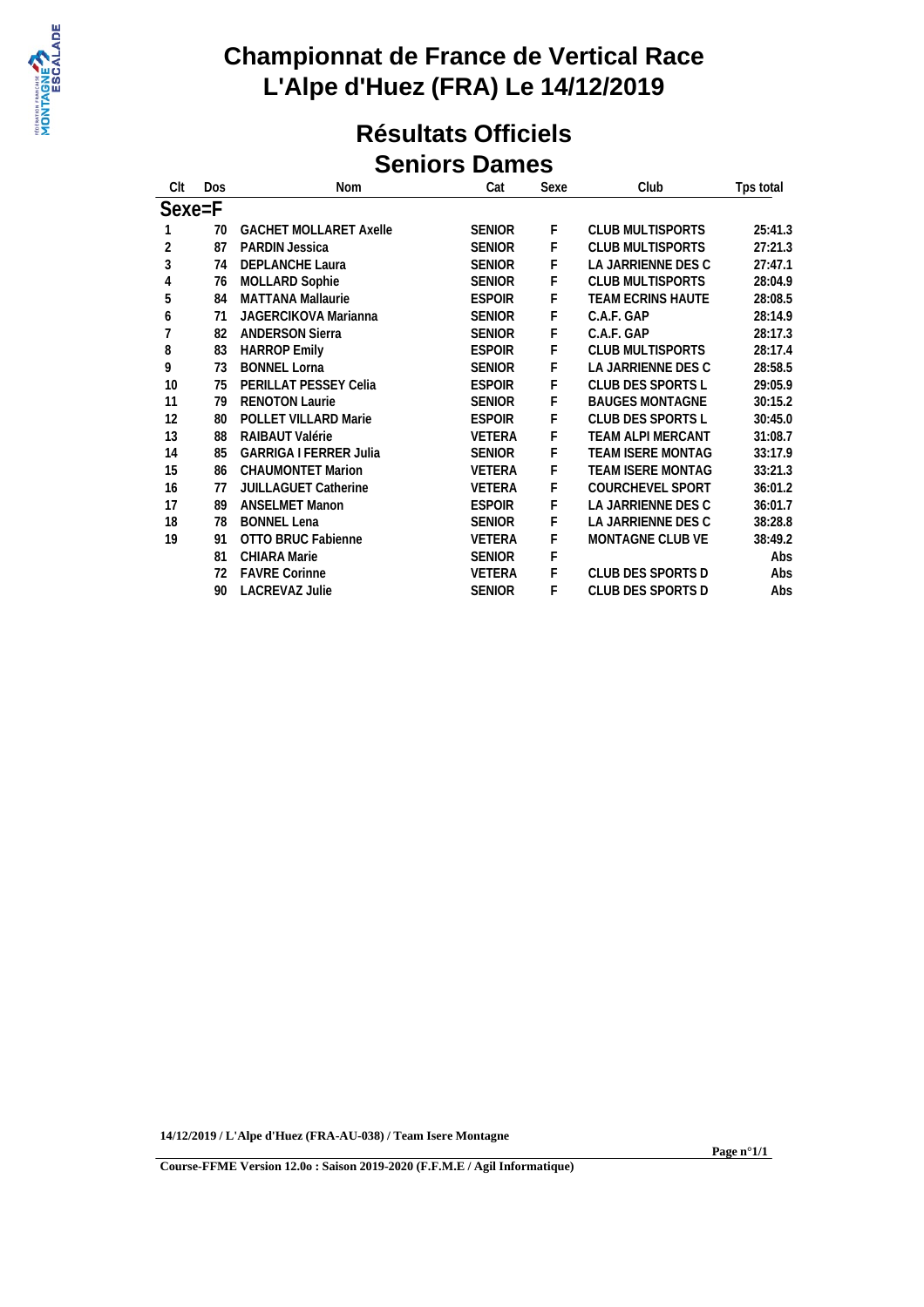

#### **Résultats Officiels Seniors Dames**

| Clt            | Dos | Nom                           | Cat           | Sexe | Club                     | Tps total |
|----------------|-----|-------------------------------|---------------|------|--------------------------|-----------|
| Sexe=F         |     |                               |               |      |                          |           |
|                | 70  | <b>GACHET MOLLARET Axelle</b> | <b>SENIOR</b> | F.   | <b>CLUB MULTISPORTS</b>  | 25:41.3   |
| 2              | 87  | PARDIN Jessica                | <b>SENIOR</b> | F    | <b>CLUB MULTISPORTS</b>  | 27:21.3   |
| 3              | 74  | <b>DEPLANCHE Laura</b>        | <b>SENIOR</b> | F    | LA JARRIENNE DES C       | 27:47.1   |
| 4              | 76  | <b>MOLLARD Sophie</b>         | <b>SENIOR</b> | F    | <b>CLUB MULTISPORTS</b>  | 28:04.9   |
| 5              | 84  | <b>MATTANA Mallaurie</b>      | <b>ESPOIR</b> | F    | <b>TEAM ECRINS HAUTE</b> | 28:08.5   |
| 6              | 71  | JAGERCIKOVA Marianna          | <b>SENIOR</b> | F    | C.A.F. GAP               | 28:14.9   |
| $\overline{7}$ | 82  | <b>ANDERSON Sierra</b>        | <b>SENIOR</b> | F    | C.A.F. GAP               | 28:17.3   |
| 8              | 83  | <b>HARROP Emily</b>           | <b>ESPOIR</b> | F    | <b>CLUB MULTISPORTS</b>  | 28:17.4   |
| 9              | 73  | <b>BONNEL Lorna</b>           | <b>SENIOR</b> | F    | LA JARRIENNE DES C       | 28:58.5   |
| 10             | 75  | PERILLAT PESSEY Celia         | <b>ESPOIR</b> | F    | CLUB DES SPORTS L        | 29:05.9   |
| 11             | 79  | <b>RENOTON Laurie</b>         | <b>SENIOR</b> | F    | <b>BAUGES MONTAGNE</b>   | 30:15.2   |
| 12             | 80  | <b>POLLET VILLARD Marie</b>   | <b>ESPOIR</b> | F    | CLUB DES SPORTS L        | 30:45.0   |
| 13             | 88  | RAIBAUT Valérie               | VETERA        | F    | <b>TEAM ALPI MERCANT</b> | 31:08.7   |
| 14             | 85  | <b>GARRIGA I FERRER Julia</b> | <b>SENIOR</b> | F    | TEAM ISERE MONTAG        | 33:17.9   |
| 15             | 86  | <b>CHAUMONTET Marion</b>      | <b>VETERA</b> | F    | TEAM ISERE MONTAG        | 33:21.3   |
| 16             | 77  | <b>JUILLAGUET Catherine</b>   | <b>VETERA</b> | F.   | <b>COURCHEVEL SPORT</b>  | 36:01.2   |
| 17             | 89  | <b>ANSELMET Manon</b>         | <b>ESPOIR</b> | F    | LA JARRIENNE DES C       | 36:01.7   |
| 18             | 78  | <b>BONNEL Lena</b>            | <b>SENIOR</b> | F    | LA JARRIENNE DES C       | 38:28.8   |
| 19             | 91  | OTTO BRUC Fabienne            | <b>VETERA</b> | F    | MONTAGNE CLUB VE         | 38:49.2   |
|                | 81  | <b>CHIARA Marie</b>           | <b>SENIOR</b> | F    |                          | Abs       |
|                | 72  | <b>FAVRE Corinne</b>          | VETERA        | F.   | CLUB DES SPORTS D        | Abs       |
|                | 90  | <b>LACREVAZ Julie</b>         | <b>SENIOR</b> | F    | CLUB DES SPORTS D        | Abs       |

**14/12/2019 / L'Alpe d'Huez (FRA-AU-038) / Team Isere Montagne**

**Page n°1/1**

**Course-FFME Version 12.0o : Saison 2019-2020 (F.F.M.E / Agil Informatique)**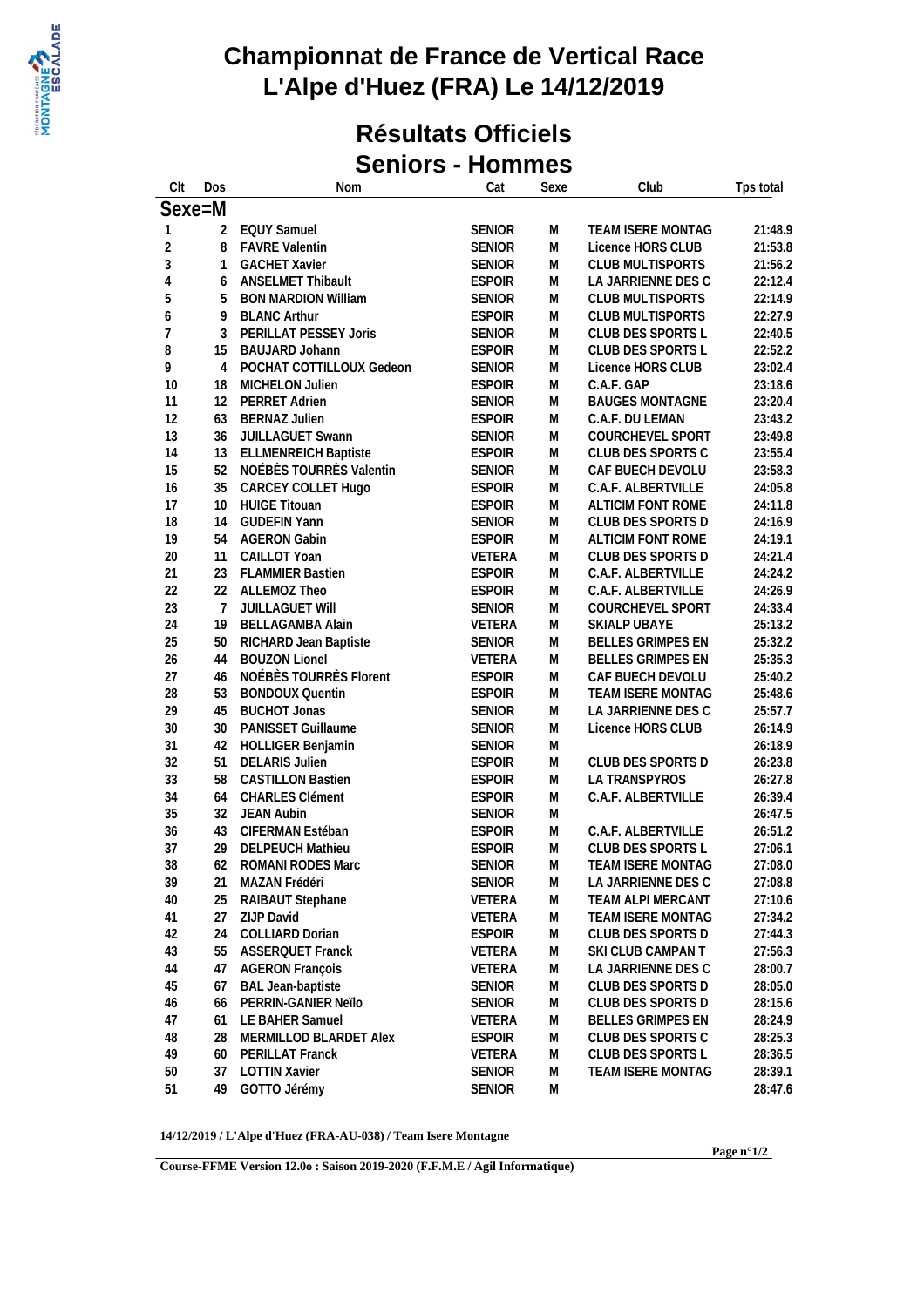

#### **Résultats Officiels Seniors - Hommes**

| Clt            | Dos      | Nom                         | Cat                            | Sexe      | Club                                   | Tps total          |
|----------------|----------|-----------------------------|--------------------------------|-----------|----------------------------------------|--------------------|
| Sexe=M         |          |                             |                                |           |                                        |                    |
| 1              | 2        | <b>EQUY Samuel</b>          | <b>SENIOR</b>                  | M         | TEAM ISERE MONTAG                      | 21:48.9            |
| $\overline{2}$ | 8        | <b>FAVRE Valentin</b>       | <b>SENIOR</b>                  | M         | Licence HORS CLUB                      | 21:53.8            |
| $\sqrt{3}$     | 1        | <b>GACHET Xavier</b>        | <b>SENIOR</b>                  | M         | <b>CLUB MULTISPORTS</b>                | 21:56.2            |
| $\overline{4}$ | 6        | <b>ANSELMET Thibault</b>    | <b>ESPOIR</b>                  | M         | LA JARRIENNE DES C                     | 22:12.4            |
| 5              | 5        | <b>BON MARDION William</b>  | <b>SENIOR</b>                  | M         | <b>CLUB MULTISPORTS</b>                | 22:14.9            |
| 6              | 9        | <b>BLANC Arthur</b>         | <b>ESPOIR</b>                  | M         | <b>CLUB MULTISPORTS</b>                | 22:27.9            |
| $\overline{7}$ | 3        | PERILLAT PESSEY Joris       | <b>SENIOR</b>                  | M         | CLUB DES SPORTS L                      | 22:40.5            |
| 8              | 15       | <b>BAUJARD Johann</b>       | <b>ESPOIR</b>                  | M         | CLUB DES SPORTS L                      | 22:52.2            |
| 9              | 4        | POCHAT COTTILLOUX Gedeon    | <b>SENIOR</b>                  | M         | Licence HORS CLUB                      | 23:02.4            |
| 10             | 18       | MICHELON Julien             | <b>ESPOIR</b>                  | M         | C.A.F. GAP                             | 23:18.6            |
| 11             | 12       | PERRET Adrien               | <b>SENIOR</b>                  | M         | <b>BAUGES MONTAGNE</b>                 | 23:20.4            |
| 12             | 63       | <b>BERNAZ Julien</b>        | <b>ESPOIR</b>                  | M         | C.A.F. DU LEMAN                        | 23:43.2            |
| 13             | 36       | JUILLAGUET Swann            | <b>SENIOR</b>                  | M         | COURCHEVEL SPORT                       | 23:49.8            |
| 14             | 13       | <b>ELLMENREICH Baptiste</b> | <b>ESPOIR</b>                  | M         | CLUB DES SPORTS C                      | 23:55.4            |
| 15             | 52       | NOÉBÈS TOURRÈS Valentin     | <b>SENIOR</b>                  | M         | CAF BUECH DEVOLU                       | 23:58.3            |
| 16             | 35       | CARCEY COLLET Hugo          | <b>ESPOIR</b>                  | M         | C.A.F. ALBERTVILLE                     | 24:05.8            |
| 17             | 10       | <b>HUIGE Titouan</b>        | <b>ESPOIR</b>                  | M         | ALTICIM FONT ROME                      | 24:11.8            |
| 18             | 14       | <b>GUDEFIN Yann</b>         | <b>SENIOR</b>                  | M         | CLUB DES SPORTS D                      | 24:16.9            |
| 19             | 54       | <b>AGERON Gabin</b>         | <b>ESPOIR</b>                  | M         | ALTICIM FONT ROME                      | 24:19.1            |
| 20             | 11       | CAILLOT Yoan                | VETERA                         | M         | CLUB DES SPORTS D                      | 24:21.4            |
| 21             | 23       | <b>FLAMMIER Bastien</b>     | <b>ESPOIR</b>                  | M         | C.A.F. ALBERTVILLE                     | 24:24.2            |
| 22             | 22       | ALLEMOZ Theo                | <b>ESPOIR</b>                  | M         | C.A.F. ALBERTVILLE                     | 24:26.9            |
| 23             | 7        | JUILLAGUET Will             | <b>SENIOR</b>                  | M         | COURCHEVEL SPORT                       | 24:33.4            |
| 24             | 19       | <b>BELLAGAMBA Alain</b>     | VETERA                         | M         | SKIALP UBAYE                           | 25:13.2            |
| 25             | 50       | RICHARD Jean Baptiste       | SENIOR                         | M         | BELLES GRIMPES EN                      | 25:32.2            |
| 26             | 44       | <b>BOUZON Lionel</b>        | VETERA                         | M         | <b>BELLES GRIMPES EN</b>               | 25:35.3            |
| 27             | 46       | NOÉBÈS TOURRÈS Florent      | <b>ESPOIR</b>                  | M         | CAF BUECH DEVOLU                       | 25:40.2            |
| 28             | 53       | <b>BONDOUX Quentin</b>      | <b>ESPOIR</b>                  | M         | TEAM ISERE MONTAG                      | 25:48.6            |
| 29             | 45       | <b>BUCHOT Jonas</b>         | <b>SENIOR</b>                  | M         | LA JARRIENNE DES C                     | 25:57.7            |
| 30             | 30       | PANISSET Guillaume          | <b>SENIOR</b>                  | M         | Licence HORS CLUB                      | 26:14.9            |
| 31             | 42       | HOLLIGER Benjamin           | <b>SENIOR</b>                  | M         |                                        | 26:18.9            |
| 32             | 51       | <b>DELARIS Julien</b>       | <b>ESPOIR</b>                  | M         | CLUB DES SPORTS D                      | 26:23.8            |
| 33             | 58       | <b>CASTILLON Bastien</b>    | <b>ESPOIR</b>                  | M         | LA TRANSPYROS                          | 26:27.8            |
| 34             | 64       | <b>CHARLES Clément</b>      | <b>ESPOIR</b>                  | M         | C.A.F. ALBERTVILLE                     | 26:39.4            |
| 35             | 32       | JEAN Aubin                  | <b>SENIOR</b>                  | M         |                                        | 26:47.5            |
| 36             | 43       | CIFERMAN Estéban            | <b>ESPOIR</b>                  | M         | C.A.F. ALBERTVILLE                     | 26:51.2            |
| 37             | 29       | <b>DELPEUCH Mathieu</b>     | <b>ESPOIR</b>                  | M         | CLUB DES SPORTS L                      | 27:06.1            |
| 38             | 62       | <b>ROMANI RODES Marc</b>    | <b>SENIOR</b>                  | M         | TEAM ISERE MONTAG                      | 27:08.0            |
| 39             | 21       | MAZAN Frédéri               | <b>SENIOR</b>                  | M         | LA JARRIENNE DES C                     | 27:08.8            |
|                | 25       | RAIBAUT Stephane            | VETERA                         | M         | TEAM ALPI MERCANT                      | 27:10.6            |
| 40<br>41       | 27       | ZIJP David                  | VETERA                         | M         | TEAM ISERE MONTAG                      | 27:34.2            |
|                | 24       | COLLIARD Dorian             | <b>ESPOIR</b>                  | M         | CLUB DES SPORTS D                      | 27:44.3            |
| 42<br>43       | 55       | <b>ASSERQUET Franck</b>     | VETERA                         | M         | SKI CLUB CAMPAN T                      | 27:56.3            |
| 44             | 47       | <b>AGERON François</b>      | VETERA                         | M         | LA JARRIENNE DES C                     | 28:00.7            |
|                |          | <b>BAL Jean-baptiste</b>    |                                |           |                                        |                    |
| 45             | 67<br>66 | PERRIN-GANIER Neïlo         | <b>SENIOR</b><br><b>SENIOR</b> | M<br>M    | CLUB DES SPORTS D<br>CLUB DES SPORTS D | 28:05.0<br>28:15.6 |
| 46<br>47       |          | LE BAHER Samuel             | VETERA                         | M         | <b>BELLES GRIMPES EN</b>               | 28:24.9            |
| 48             | 61<br>28 | MERMILLOD BLARDET Alex      | <b>ESPOIR</b>                  | M         | CLUB DES SPORTS C                      | 28:25.3            |
| 49             | 60       | PERILLAT Franck             | VETERA                         | M         | CLUB DES SPORTS L                      | 28:36.5            |
| 50             | 37       | <b>LOTTIN Xavier</b>        | SENIOR                         | ${\sf M}$ | TEAM ISERE MONTAG                      | 28:39.1            |
| 51             | 49       | GOTTO Jérémy                | <b>SENIOR</b>                  | M         |                                        | 28:47.6            |
|                |          |                             |                                |           |                                        |                    |

**14/12/2019 / L'Alpe d'Huez (FRA-AU-038) / Team Isere Montagne**

**Course-FFME Version 12.0o : Saison 2019-2020 (F.F.M.E / Agil Informatique)**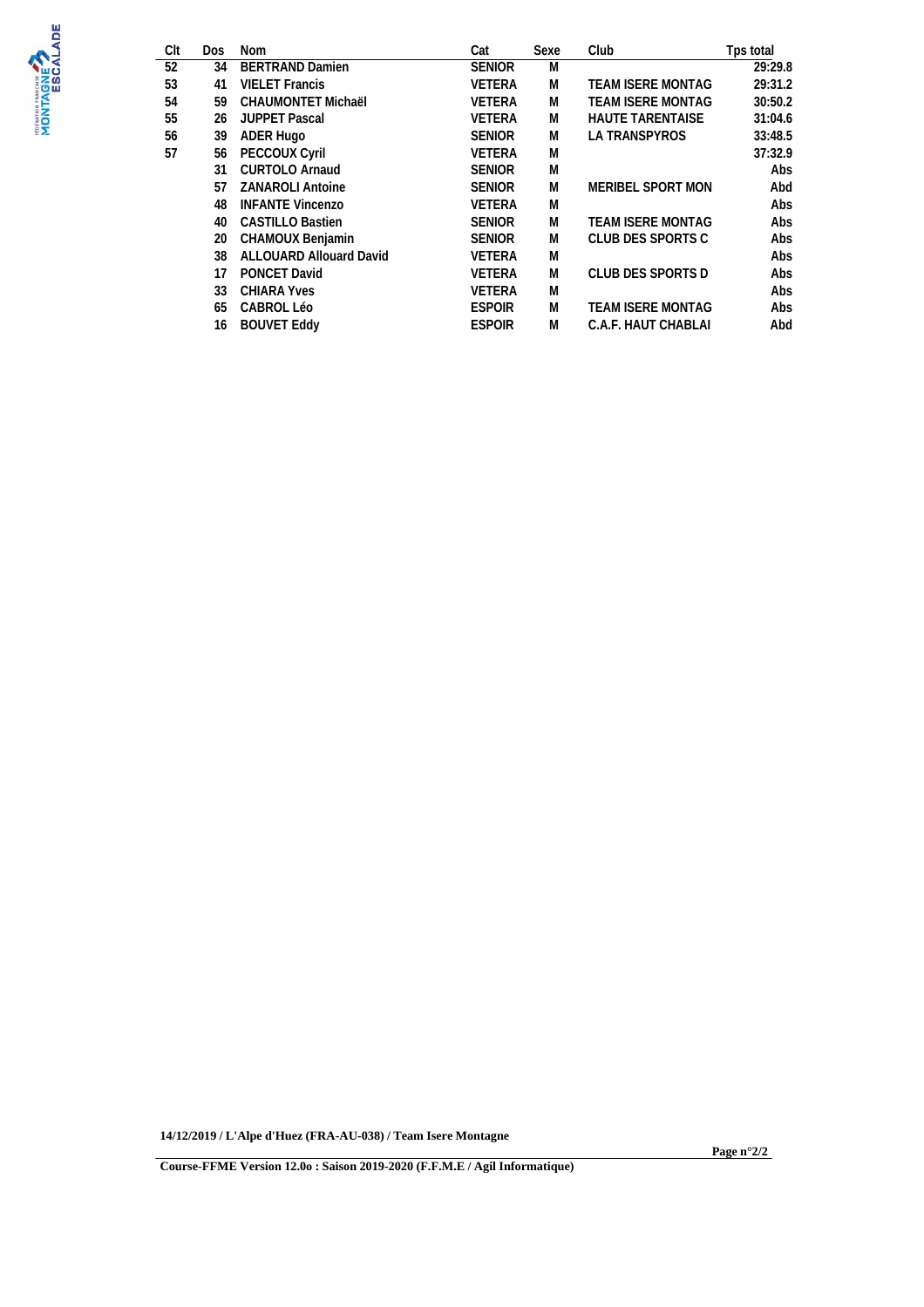

| Clt | <b>Dos</b> | Nom                     | Cat           | Sexe | Club                     | Tps total |
|-----|------------|-------------------------|---------------|------|--------------------------|-----------|
| 52  | 34         | <b>BERTRAND Damien</b>  | <b>SENIOR</b> | M    |                          | 29:29.8   |
| 53  | 41         | <b>VIELET</b> Francis   | <b>VETERA</b> | M    | <b>TEAM ISERE MONTAG</b> | 29:31.2   |
| 54  | 59         | CHAUMONTET Michaël      | <b>VETERA</b> | M    | TEAM ISERE MONTAG        | 30:50.2   |
| 55  | 26         | <b>JUPPET Pascal</b>    | <b>VETERA</b> | M    | <b>HAUTE TARENTAISE</b>  | 31:04.6   |
| 56  | 39         | ADER Hugo               | <b>SENIOR</b> | M    | <b>LA TRANSPYROS</b>     | 33:48.5   |
| 57  | 56         | <b>PECCOUX Cyril</b>    | <b>VETERA</b> | M    |                          | 37:32.9   |
|     | 31         | <b>CURTOLO Arnaud</b>   | <b>SENIOR</b> | M    |                          | Abs       |
|     | 57         | <b>ZANAROLI Antoine</b> | <b>SENIOR</b> | M    | MERIBEL SPORT MON        | Abd       |
|     | 48         | <b>INFANTE Vincenzo</b> | <b>VETERA</b> | M    |                          | Abs       |
|     | 40         | <b>CASTILLO Bastien</b> | <b>SENIOR</b> | M    | <b>TEAM ISERE MONTAG</b> | Abs       |
|     | 20         | CHAMOUX Benjamin        | <b>SENIOR</b> | M    | CLUB DES SPORTS C        | Abs       |
|     | 38         | ALLOUARD Allouard David | <b>VETERA</b> | M    |                          | Abs       |
|     | 17         | <b>PONCET David</b>     | <b>VETERA</b> | M    | CLUB DES SPORTS D        | Abs       |
|     | 33         | <b>CHIARA Yves</b>      | <b>VETERA</b> | M    |                          | Abs       |
|     | 65         | <b>CABROL Léo</b>       | <b>ESPOIR</b> | M    | <b>TEAM ISERE MONTAG</b> | Abs       |
|     | 16         | <b>BOUVET Eddy</b>      | <b>ESPOIR</b> | M    | C.A.F. HAUT CHABLAI      | Abd       |

**14/12/2019 / L'Alpe d'Huez (FRA-AU-038) / Team Isere Montagne**

**Page n°2/2**

**Course-FFME Version 12.0o : Saison 2019-2020 (F.F.M.E / Agil Informatique)**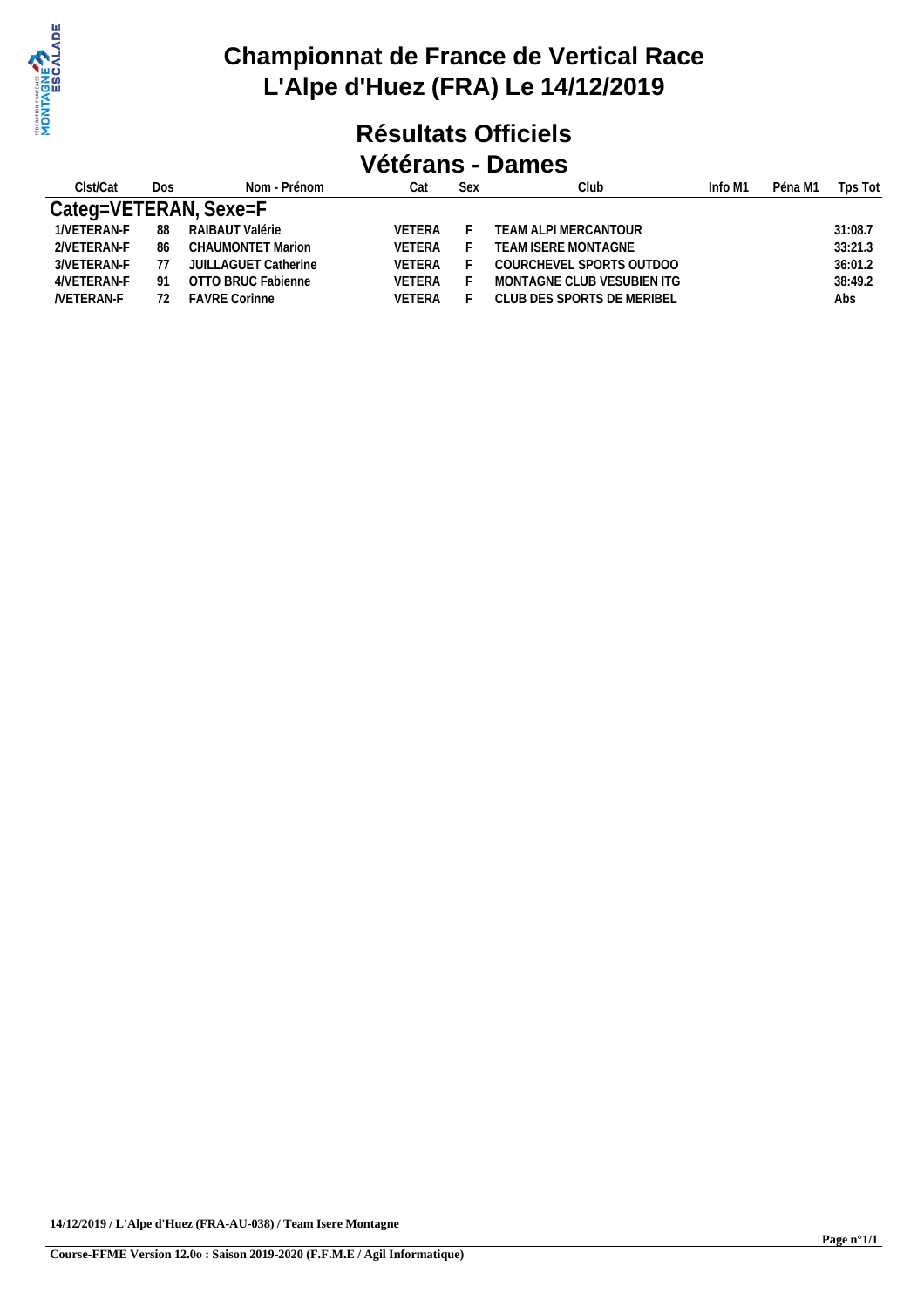

#### **Résultats Officiels Vétérans - Dames**

| Clst/Cat         | Dos. | Nom - Prénom          | Cat           | Sex | Club                       | Info M1 | Péna M1 | Tps Tot |
|------------------|------|-----------------------|---------------|-----|----------------------------|---------|---------|---------|
|                  |      | Categ=VETERAN, Sexe=F |               |     |                            |         |         |         |
| 1/VETERAN-F      | 88   | RAIBAUT Valérie       | VETERA        |     | TEAM ALPI MERCANTOUR       |         |         | 31:08.7 |
| 2NETERAN-F       | 86   | CHAUMONTET Marion     | <b>VFTFRA</b> |     | TEAM ISERE MONTAGNE        |         |         | 33:21.3 |
| 3/VETERAN-F      | 77   | JUILLAGUET Catherine  | <b>VETERA</b> |     | COURCHEVEL SPORTS OUTDOO   |         |         | 36:01.2 |
| 4/VETERAN-F      | -91  | OTTO BRUC Fabienne    | <b>VETERA</b> |     | MONTAGNE CLUB VESUBIEN ITG |         |         | 38:49.2 |
| <b>NETERAN-F</b> | 72   | <b>FAVRE Corinne</b>  | VETERA        |     | CLUB DES SPORTS DE MERIBEL |         |         | Abs     |
|                  |      |                       |               |     |                            |         |         |         |

**14/12/2019 / L'Alpe d'Huez (FRA-AU-038) / Team Isere Montagne**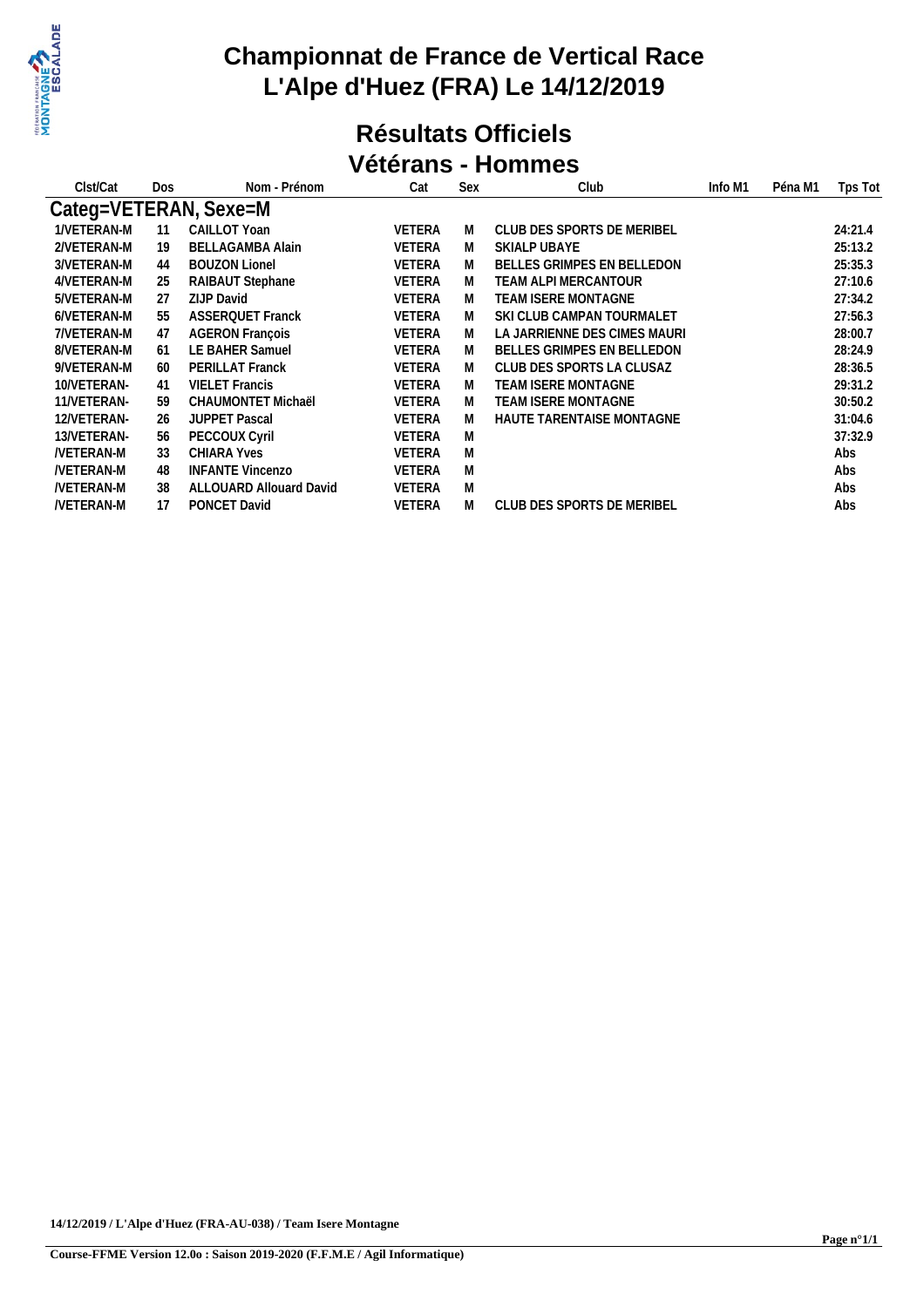

#### **Résultats Officiels Vétérans - Hommes**

| Clst/Cat         | Dos | Nom - Prénom            | Cat           | Sex | Club                              | Info M1 | Péna M1 | Tps Tot |
|------------------|-----|-------------------------|---------------|-----|-----------------------------------|---------|---------|---------|
|                  |     | Categ=VETERAN, Sexe=M   |               |     |                                   |         |         |         |
| 1/VETERAN-M      | 11  | CAILLOT Yoan            | <b>VETERA</b> | M   | CLUB DES SPORTS DE MERIBEL        |         |         | 24:21.4 |
| 2/VETERAN-M      | 19  | BELLAGAMBA Alain        | <b>VETERA</b> | M   | SKIALP UBAYE                      |         |         | 25:13.2 |
| 3/VETERAN-M      | 44  | <b>BOUZON Lionel</b>    | <b>VETERA</b> | M   | BELLES GRIMPES EN BELLEDON        |         |         | 25:35.3 |
| 4/VETERAN-M      | 25  | RAIBAUT Stephane        | <b>VETERA</b> | M   | TEAM ALPI MERCANTOUR-             |         |         | 27:10.6 |
| 5/VETERAN-M      | 27  | <b>ZIJP David</b>       | <b>VETERA</b> | M   | TEAM ISERE MONTAGNE               |         |         | 27:34.2 |
| 6/VETERAN-M      | 55  | <b>ASSERQUET Franck</b> | <b>VETERA</b> | M   | SKI CLUB CAMPAN TOURMALET         |         |         | 27:56.3 |
| 7/VETERAN-M      | 47  | <b>AGERON Francois</b>  | <b>VETERA</b> | M   | LA JARRIENNE DES CIMES MAURI      |         |         | 28:00.7 |
| 8/VETERAN-M      | 61  | LE BAHER Samuel         | <b>VETERA</b> | M   | <b>BELLES GRIMPES EN BELLEDON</b> |         |         | 28:24.9 |
| 9/VETERAN-M      | 60  | PERILLAT Franck         | <b>VETERA</b> | M   | CLUB DES SPORTS LA CLUSAZ         |         |         | 28:36.5 |
| 10/VETERAN-      | 41  | <b>VIELET Francis</b>   | <b>VETERA</b> | M   | TEAM ISERE MONTAGNE               |         |         | 29:31.2 |
| 11/VETERAN-      | 59  | CHAUMONTET Michaël      | <b>VETERA</b> | M   | TEAM ISERE MONTAGNE               |         |         | 30:50.2 |
| 12/VETERAN-      | 26  | <b>JUPPET Pascal</b>    | <b>VETERA</b> | M   | HAUTE TARENTAISE MONTAGNE         |         |         | 31:04.6 |
| 13/VETERAN-      | 56  | PECCOUX Cyril           | <b>VETERA</b> | M   |                                   |         |         | 37:32.9 |
| <b>NETERAN-M</b> | 33  | <b>CHIARA Yves</b>      | <b>VETERA</b> | M   |                                   |         |         | Abs     |
| <b>NETERAN-M</b> | 48  | <b>INFANTE Vincenzo</b> | <b>VETERA</b> | M   |                                   |         |         | Abs     |
| <b>NETERAN-M</b> | 38  | ALLOUARD Allouard David | <b>VETERA</b> | M   |                                   |         |         | Abs     |
| <b>NETERAN-M</b> | 17  | PONCET David            | <b>VETERA</b> | M   | CLUB DES SPORTS DE MERIBEL        |         |         | Abs     |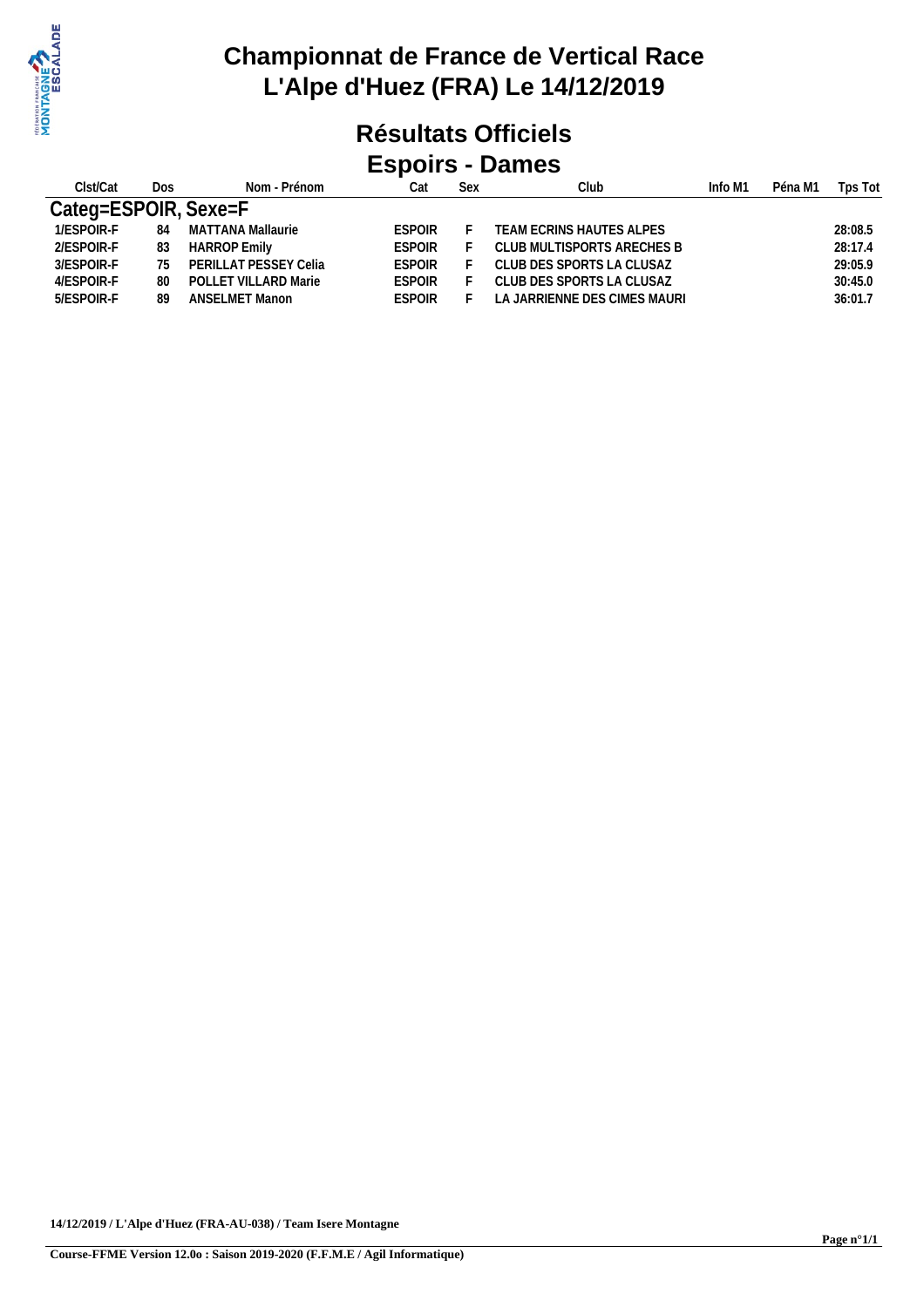

#### **Résultats Officiels Espoirs - Dames**

| Clst/Cat             | Dos | Nom - Prénom          | Cat           | Sex | Club                         | Info M1 | Péna M1 | Tps Tot |
|----------------------|-----|-----------------------|---------------|-----|------------------------------|---------|---------|---------|
| Categ=ESPOIR, Sexe=F |     |                       |               |     |                              |         |         |         |
| 1/ESPOIR-F           | 84  | MATTANA Mallaurie     | ESPOIR        |     | TEAM ECRINS HAUTES ALPES     |         |         | 28:08.5 |
| 2/ESPOIR-F           | 83  | <b>HARROP Emily</b>   | ESPOIR        |     | CLUB MULTISPORTS ARECHES B   |         |         | 28:17.4 |
| 3/ESPOIR-F           | 75. | PERILLAT PESSEY Celia | ESPOIR        |     | CLUB DES SPORTS LA CLUSAZ    |         |         | 29:05.9 |
| 4/ESPOIR-F           | 80  | POLLET VILLARD Marie  | <b>FSPOIR</b> |     | CLUB DES SPORTS LA CLUSAZ    |         |         | 30:45.0 |
| 5/ESPOIR-F           | 89  | <b>ANSELMET Manon</b> | <b>FSPOIR</b> |     | LA JARRIENNE DES CIMES MAURI |         |         | 36:01.7 |
|                      |     |                       |               |     |                              |         |         |         |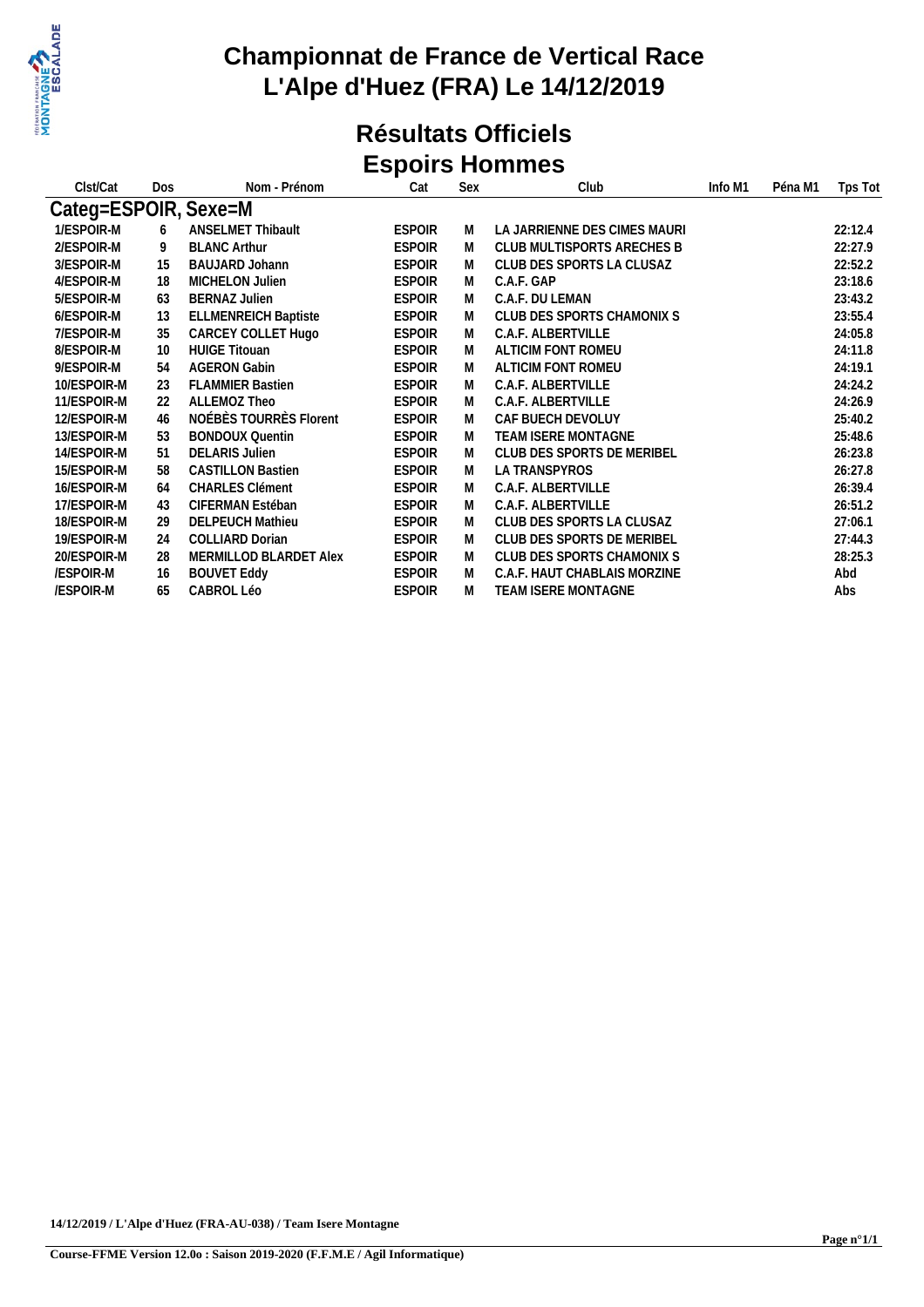

#### **Résultats Officiels Espoirs Hommes**

| Clst/Cat             | Dos | Nom - Prénom                | Cat           | Sex | Club                         | Info M1 | Péna M1 | Tps Tot |
|----------------------|-----|-----------------------------|---------------|-----|------------------------------|---------|---------|---------|
| Categ=ESPOIR, Sexe=M |     |                             |               |     |                              |         |         |         |
| 1/ESPOIR-M           | 6   | <b>ANSELMET Thibault</b>    | <b>ESPOIR</b> | M   | LA JARRIENNE DES CIMES MAURI |         |         | 22:12.4 |
| 2/ESPOIR-M           | 9   | <b>BLANC Arthur</b>         | <b>ESPOIR</b> | M   | CLUB MULTISPORTS ARECHES B   |         |         | 22:27.9 |
| 3/ESPOIR-M           | 15  | <b>BAUJARD Johann</b>       | <b>ESPOIR</b> | M   | CLUB DES SPORTS LA CLUSAZ    |         |         | 22:52.2 |
| 4/ESPOIR-M           | 18  | MICHELON Julien             | <b>ESPOIR</b> | M   | C.A.F. GAP                   |         |         | 23:18.6 |
| 5/ESPOIR-M           | 63  | <b>BERNAZ Julien</b>        | <b>ESPOIR</b> | M   | C.A.F. DU LEMAN              |         |         | 23:43.2 |
| 6/ESPOIR-M           | 13  | <b>ELLMENREICH Baptiste</b> | <b>ESPOIR</b> | M   | CLUB DES SPORTS CHAMONIX S   |         |         | 23:55.4 |
| 7/ESPOIR-M           | 35  | CARCEY COLLET Hugo          | <b>ESPOIR</b> | M   | C.A.F. ALBERTVILLE           |         |         | 24:05.8 |
| 8/ESPOIR-M           | 10  | <b>HUIGE Titouan</b>        | <b>ESPOIR</b> | M   | ALTICIM FONT ROMEU           |         |         | 24:11.8 |
| 9/ESPOIR-M           | 54  | <b>AGERON Gabin</b>         | <b>ESPOIR</b> | M   | ALTICIM FONT ROMEU           |         |         | 24:19.1 |
| 10/ESPOIR-M          | 23  | <b>FLAMMIER Bastien</b>     | <b>ESPOIR</b> | M   | C.A.F. ALBERTVILLE           |         |         | 24:24.2 |
| 11/ESPOIR-M          | 22  | ALLEMOZ Theo                | <b>ESPOIR</b> | M   | C.A.F. ALBERTVILLE           |         |         | 24:26.9 |
| 12/ESPOIR-M          | 46  | NOÉBÈS TOURRÈS Florent      | <b>ESPOIR</b> | M   | CAF BUECH DEVOLUY            |         |         | 25:40.2 |
| 13/ESPOIR-M          | 53  | <b>BONDOUX Quentin</b>      | <b>ESPOIR</b> | M   | TEAM ISERE MONTAGNE          |         |         | 25:48.6 |
| 14/ESPOIR-M          | 51  | <b>DELARIS Julien</b>       | <b>ESPOIR</b> | M   | CLUB DES SPORTS DE MERIBEL   |         |         | 26:23.8 |
| 15/ESPOIR-M          | 58  | <b>CASTILLON Bastien</b>    | <b>ESPOIR</b> | M   | LA TRANSPYROS                |         |         | 26:27.8 |
| 16/ESPOIR-M          | 64  | <b>CHARLES Clément</b>      | <b>ESPOIR</b> | M   | C.A.F. ALBERTVILLE           |         |         | 26:39.4 |
| 17/ESPOIR-M          | 43  | CIFERMAN Estéban            | <b>ESPOIR</b> | M   | C.A.F. ALBERTVILLE           |         |         | 26:51.2 |
| 18/ESPOIR-M          | 29  | <b>DELPEUCH Mathieu</b>     | <b>ESPOIR</b> | M   | CLUB DES SPORTS LA CLUSAZ    |         |         | 27:06.1 |
| 19/ESPOIR-M          | 24  | <b>COLLIARD Dorian</b>      | <b>ESPOIR</b> | M   | CLUB DES SPORTS DE MERIBEL   |         |         | 27:44.3 |
| 20/ESPOIR-M          | 28  | MERMILLOD BLARDET Alex      | <b>ESPOIR</b> | M   | CLUB DES SPORTS CHAMONIX S   |         |         | 28:25.3 |
| /ESPOIR-M            | 16  | <b>BOUVET Eddy</b>          | <b>ESPOIR</b> | M   | C.A.F. HAUT CHABLAIS MORZINE |         |         | Abd     |
| /ESPOIR-M            | 65  | <b>CABROL Léo</b>           | <b>ESPOIR</b> | M   | <b>TEAM ISERE MONTAGNE</b>   |         |         | Abs     |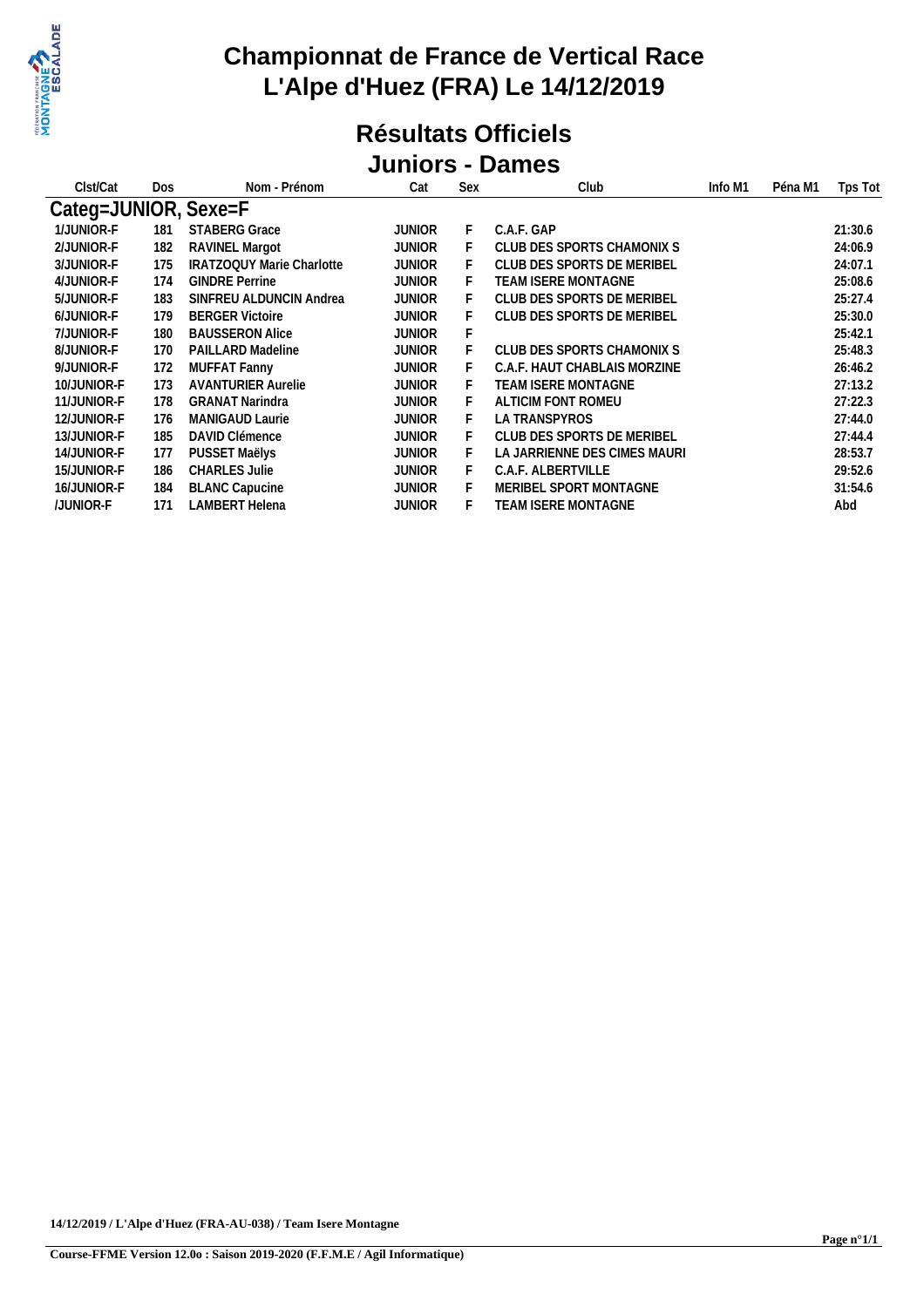

#### **Résultats Officiels Juniors - Dames**

| Clst/Cat             | Dos | Nom - Prénom                     | Cat           | Sex | Club                         | Info M1 | Péna M1 | Tps Tot |
|----------------------|-----|----------------------------------|---------------|-----|------------------------------|---------|---------|---------|
| Categ=JUNIOR, Sexe=F |     |                                  |               |     |                              |         |         |         |
| 1/JUNIOR-F           | 181 | <b>STABERG Grace</b>             | <b>JUNIOR</b> | F.  | C.A.F. GAP                   |         |         | 21:30.6 |
| 2/JUNIOR-F           | 182 | RAVINEL Margot                   | <b>JUNIOR</b> |     | CLUB DES SPORTS CHAMONIX S   |         |         | 24:06.9 |
| 3/JUNIOR-F           | 175 | <b>IRATZOQUY Marie Charlotte</b> | <b>JUNIOR</b> | F.  | CLUB DES SPORTS DE MERIBEL   |         |         | 24:07.1 |
| 4/JUNIOR-F           | 174 | <b>GINDRE Perrine</b>            | <b>JUNIOR</b> | F.  | <b>TEAM ISERE MONTAGNE</b>   |         |         | 25:08.6 |
| 5/JUNIOR-F           | 183 | SINFREU ALDUNCIN Andrea          | <b>JUNIOR</b> | F.  | CLUB DES SPORTS DE MERIBEL   |         |         | 25:27.4 |
| 6/JUNIOR-F           | 179 | <b>BERGER Victoire</b>           | JUNIOR        |     | CLUB DES SPORTS DE MERIBEL   |         |         | 25:30.0 |
| 7/JUNIOR-F           | 180 | <b>BAUSSERON Alice</b>           | JUNIOR        |     |                              |         |         | 25:42.1 |
| 8/JUNIOR-F           | 170 | PAILLARD Madeline                | <b>JUNIOR</b> |     | CLUB DES SPORTS CHAMONIX S   |         |         | 25:48.3 |
| 9/JUNIOR-F           | 172 | <b>MUFFAT Fanny</b>              | <b>JUNIOR</b> | F.  | C.A.F. HAUT CHABLAIS MORZINE |         |         | 26:46.2 |
| 10/JUNIOR-F          | 173 | <b>AVANTURIER Aurelie</b>        | <b>JUNIOR</b> | F.  | TEAM ISERE MONTAGNE          |         |         | 27:13.2 |
| 11/JUNIOR-F          | 178 | <b>GRANAT Narindra</b>           | <b>JUNIOR</b> | F.  | ALTICIM FONT ROMEU           |         |         | 27:22.3 |
| 12/JUNIOR-F          | 176 | <b>MANIGAUD Laurie</b>           | <b>JUNIOR</b> | F.  | LA TRANSPYROS                |         |         | 27:44.0 |
| 13/JUNIOR-F          | 185 | <b>DAVID Clémence</b>            | <b>JUNIOR</b> | F.  | CLUB DES SPORTS DE MERIBEL   |         |         | 27:44.4 |
| 14/JUNIOR-F          | 177 | PUSSET Maëlys                    | <b>JUNIOR</b> |     | LA JARRIENNE DES CIMES MAURI |         |         | 28:53.7 |
| 15/JUNIOR-F          | 186 | <b>CHARLES Julie</b>             | <b>JUNIOR</b> |     | C.A.F. ALBERTVILLE           |         |         | 29:52.6 |
| 16/JUNIOR-F          | 184 | <b>BLANC Capucine</b>            | <b>JUNIOR</b> |     | MERIBEL SPORT MONTAGNE       |         |         | 31:54.6 |
| /JUNIOR-F            | 171 | LAMBERT Helena                   | <b>JUNIOR</b> | H.  | TEAM ISERE MONTAGNE          |         |         | Abd     |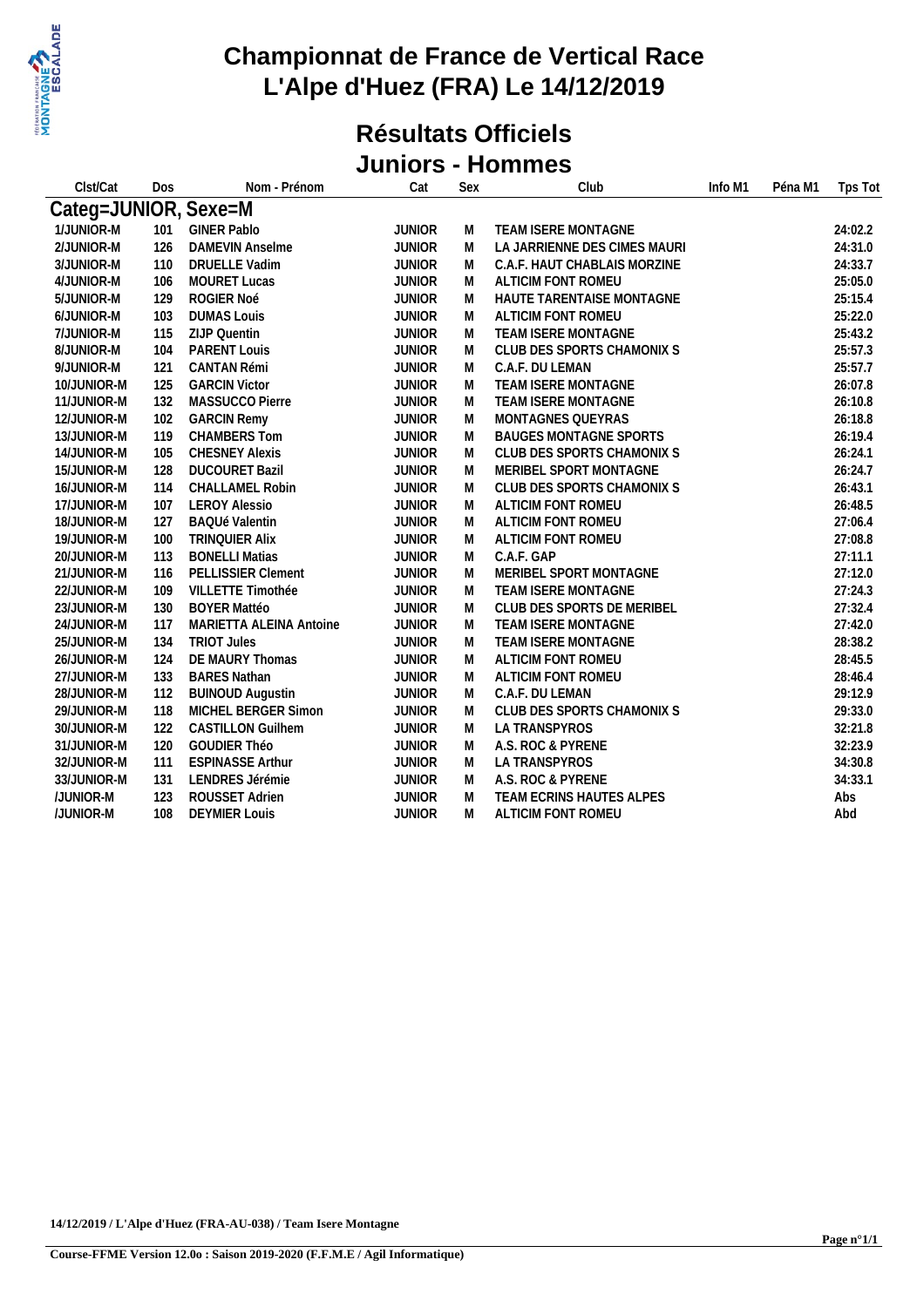

#### **Résultats Officiels Juniors - Hommes**

| Clst/Cat             | Dos | Nom - Prénom              | Cat           | Sex | Club                          | Info M1 | Péna M1 | Tps Tot |
|----------------------|-----|---------------------------|---------------|-----|-------------------------------|---------|---------|---------|
| Categ=JUNIOR, Sexe=M |     |                           |               |     |                               |         |         |         |
| 1/JUNIOR-M           | 101 | <b>GINER Pablo</b>        | <b>JUNIOR</b> | M   | TEAM ISERE MONTAGNE           |         |         | 24:02.2 |
| 2/JUNIOR-M           | 126 | DAMEVIN Anselme           | <b>JUNIOR</b> | M   | LA JARRIENNE DES CIMES MAURI  |         |         | 24:31.0 |
| 3/JUNIOR-M           | 110 | DRUELLE Vadim             | <b>JUNIOR</b> | M   | C.A.F. HAUT CHABLAIS MORZINE  |         |         | 24:33.7 |
| 4/JUNIOR-M           | 106 | MOURET Lucas              | <b>JUNIOR</b> | M   | ALTICIM FONT ROMEU            |         |         | 25:05.0 |
| 5/JUNIOR-M           | 129 | ROGIER Noé                | <b>JUNIOR</b> | M   | HAUTE TARENTAISE MONTAGNE     |         |         | 25:15.4 |
| 6/JUNIOR-M           | 103 | <b>DUMAS Louis</b>        | <b>JUNIOR</b> | M   | ALTICIM FONT ROMEU            |         |         | 25:22.0 |
| 7/JUNIOR-M           | 115 | ZIJP Quentin              | <b>JUNIOR</b> | M   | TEAM ISERE MONTAGNE           |         |         | 25:43.2 |
| 8/JUNIOR-M           | 104 | PARENT Louis              | <b>JUNIOR</b> | M   | CLUB DES SPORTS CHAMONIX S    |         |         | 25:57.3 |
| 9/JUNIOR-M           | 121 | CANTAN Rémi               | <b>JUNIOR</b> | M   | C.A.F. DU LEMAN               |         |         | 25:57.7 |
| 10/JUNIOR-M          | 125 | <b>GARCIN Victor</b>      | <b>JUNIOR</b> | M   | TEAM ISERE MONTAGNE           |         |         | 26:07.8 |
| 11/JUNIOR-M          | 132 | MASSUCCO Pierre           | <b>JUNIOR</b> | M   | TEAM ISERE MONTAGNE           |         |         | 26:10.8 |
| 12/JUNIOR-M          | 102 | <b>GARCIN Remy</b>        | <b>JUNIOR</b> | M   | MONTAGNES QUEYRAS             |         |         | 26:18.8 |
| 13/JUNIOR-M          | 119 | CHAMBERS Tom              | <b>JUNIOR</b> | M   | <b>BAUGES MONTAGNE SPORTS</b> |         |         | 26:19.4 |
| 14/JUNIOR-M          | 105 | <b>CHESNEY Alexis</b>     | <b>JUNIOR</b> | M   | CLUB DES SPORTS CHAMONIX S    |         |         | 26:24.1 |
| 15/JUNIOR-M          | 128 | <b>DUCOURET Bazil</b>     | <b>JUNIOR</b> | M   | MERIBEL SPORT MONTAGNE        |         |         | 26:24.7 |
| 16/JUNIOR-M          | 114 | <b>CHALLAMEL Robin</b>    | <b>JUNIOR</b> | M   | CLUB DES SPORTS CHAMONIX S    |         |         | 26:43.1 |
| 17/JUNIOR-M          | 107 | <b>LEROY Alessio</b>      | <b>JUNIOR</b> | M   | ALTICIM FONT ROMEU            |         |         | 26:48.5 |
| 18/JUNIOR-M          | 127 | <b>BAQUé Valentin</b>     | <b>JUNIOR</b> | M   | ALTICIM FONT ROMEU            |         |         | 27:06.4 |
| 19/JUNIOR-M          | 100 | <b>TRINQUIER Alix</b>     | <b>JUNIOR</b> | M   | ALTICIM FONT ROMEU            |         |         | 27:08.8 |
| 20/JUNIOR-M          | 113 | <b>BONELLI Matias</b>     | <b>JUNIOR</b> | M   | C.A.F. GAP                    |         |         | 27:11.1 |
| 21/JUNIOR-M          | 116 | <b>PELLISSIER Clement</b> | <b>JUNIOR</b> | M   | MERIBEL SPORT MONTAGNE        |         |         | 27:12.0 |
| 22/JUNIOR-M          | 109 | VILLETTE Timothée         | <b>JUNIOR</b> | M   | TEAM ISERE MONTAGNE           |         |         | 27:24.3 |
| 23/JUNIOR-M          | 130 | <b>BOYER Mattéo</b>       | <b>JUNIOR</b> | M   | CLUB DES SPORTS DE MERIBEL    |         |         | 27:32.4 |
| 24/JUNIOR-M          | 117 | MARIETTA ALEINA Antoine   | <b>JUNIOR</b> | M   | TEAM ISERE MONTAGNE           |         |         | 27:42.0 |
| 25/JUNIOR-M          | 134 | <b>TRIOT Jules</b>        | <b>JUNIOR</b> | M   | TEAM ISERE MONTAGNE           |         |         | 28:38.2 |
| 26/JUNIOR-M          | 124 | DE MAURY Thomas           | <b>JUNIOR</b> | M   | ALTICIM FONT ROMEU            |         |         | 28:45.5 |
| 27/JUNIOR-M          | 133 | <b>BARES Nathan</b>       | <b>JUNIOR</b> | M   | ALTICIM FONT ROMEU            |         |         | 28:46.4 |
| 28/JUNIOR-M          | 112 | <b>BUINOUD Augustin</b>   | <b>JUNIOR</b> | M   | C.A.F. DU LEMAN               |         |         | 29:12.9 |
| 29/JUNIOR-M          | 118 | MICHEL BERGER Simon       | <b>JUNIOR</b> | M   | CLUB DES SPORTS CHAMONIX S    |         |         | 29:33.0 |
| 30/JUNIOR-M          | 122 | <b>CASTILLON Guilhem</b>  | <b>JUNIOR</b> | M   | LA TRANSPYROS                 |         |         | 32:21.8 |
| 31/JUNIOR-M          | 120 | GOUDIER Théo              | <b>JUNIOR</b> | M   | A.S. ROC & PYRENE             |         |         | 32:23.9 |
| 32/JUNIOR-M          | 111 | <b>ESPINASSE Arthur</b>   | <b>JUNIOR</b> | M   | LA TRANSPYROS                 |         |         | 34:30.8 |
| 33/JUNIOR-M          | 131 | LENDRES Jérémie           | <b>JUNIOR</b> | M   | A.S. ROC & PYRENE             |         |         | 34:33.1 |
| /JUNIOR-M            | 123 | ROUSSET Adrien            | <b>JUNIOR</b> | M   | TEAM ECRINS HAUTES ALPES      |         |         | Abs     |
| /JUNIOR-M            | 108 | <b>DEYMIER Louis</b>      | <b>JUNIOR</b> | M   | ALTICIM FONT ROMEU            |         |         | Abd     |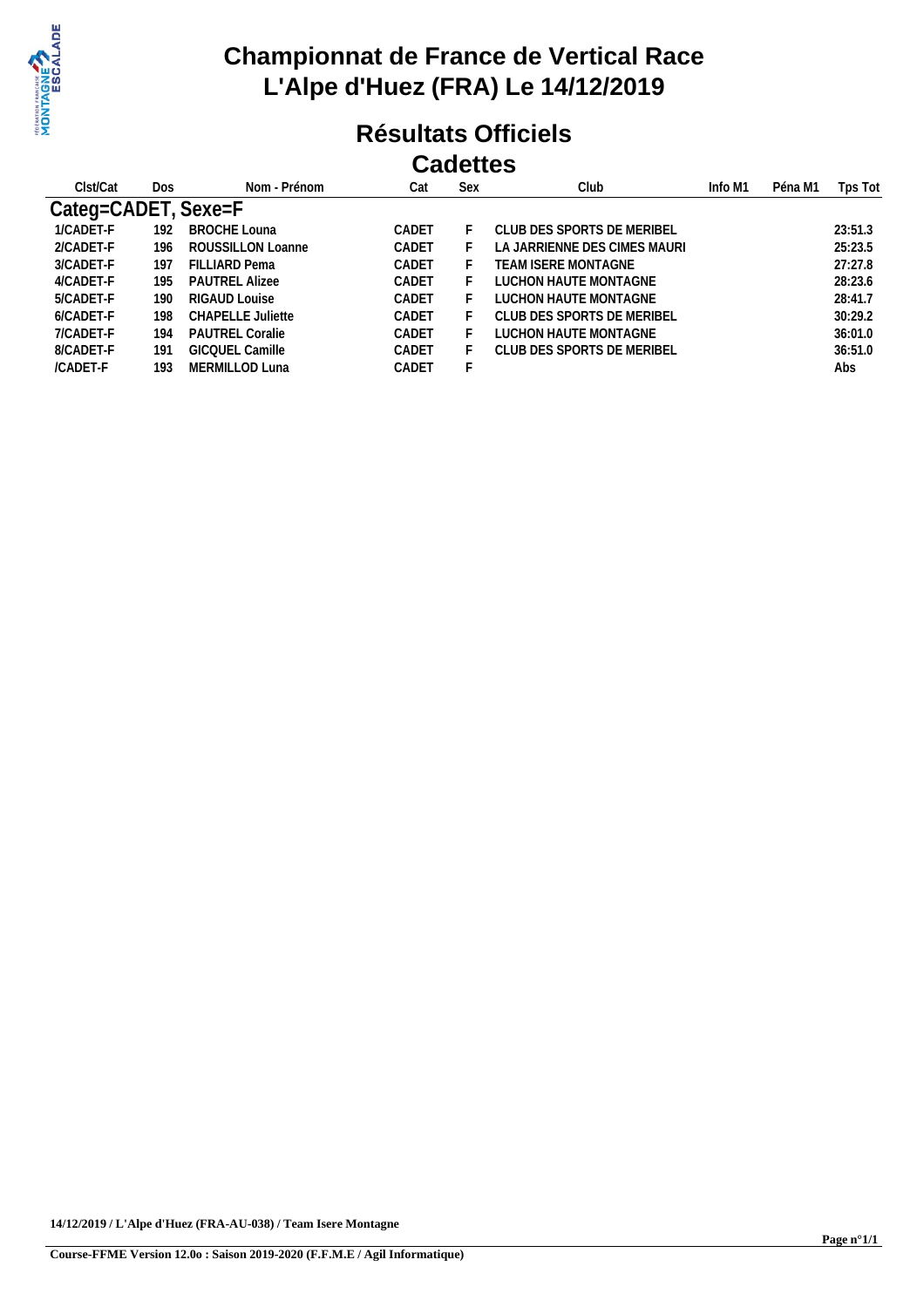

#### **Résultats Officiels Cadettes**

| Clst/Cat    | Dos | Nom - Prénom           | Cat   | Sex | Club                         | Info M1 | Péna M1 | Tps Tot |
|-------------|-----|------------------------|-------|-----|------------------------------|---------|---------|---------|
| Categ=CADET |     | Sexe=F                 |       |     |                              |         |         |         |
| 1/CADET-F   | 192 | <b>BROCHE Louna</b>    | CADET |     | CLUB DES SPORTS DE MERIBEL   |         |         | 23:51.3 |
| 2/CADET-F   | 196 | ROUSSILLON Loanne      | CADET |     | LA JARRIENNE DES CIMES MAURI |         |         | 25:23.5 |
| 3/CADET-F   | 197 | FILLIARD Pema          | CADET |     | TEAM ISERE MONTAGNE          |         |         | 27:27.8 |
| 4/CADET-F   | 195 | <b>PAUTREL Alizee</b>  | CADET |     | LUCHON HAUTE MONTAGNE        |         |         | 28:23.6 |
| 5/CADET-F   | 190 | RIGAUD Louise          | CADET |     | LUCHON HAUTE MONTAGNE        |         |         | 28:41.7 |
| 6/CADET-F   | 198 | CHAPELLE Juliette      | CADET |     | CLUB DES SPORTS DE MERIBEL   |         |         | 30:29.2 |
| 7/CADET-F   | 194 | <b>PAUTREL Coralie</b> | CADET |     | LUCHON HAUTE MONTAGNE        |         |         | 36:01.0 |
| 8/CADET-F   | 191 | GICOUEL Camille        | CADET |     | CLUB DES SPORTS DE MERIBEL   |         |         | 36:51.0 |
| /CADET-F    | 193 | MERMILLOD Luna         | CADET |     |                              |         |         | Abs     |